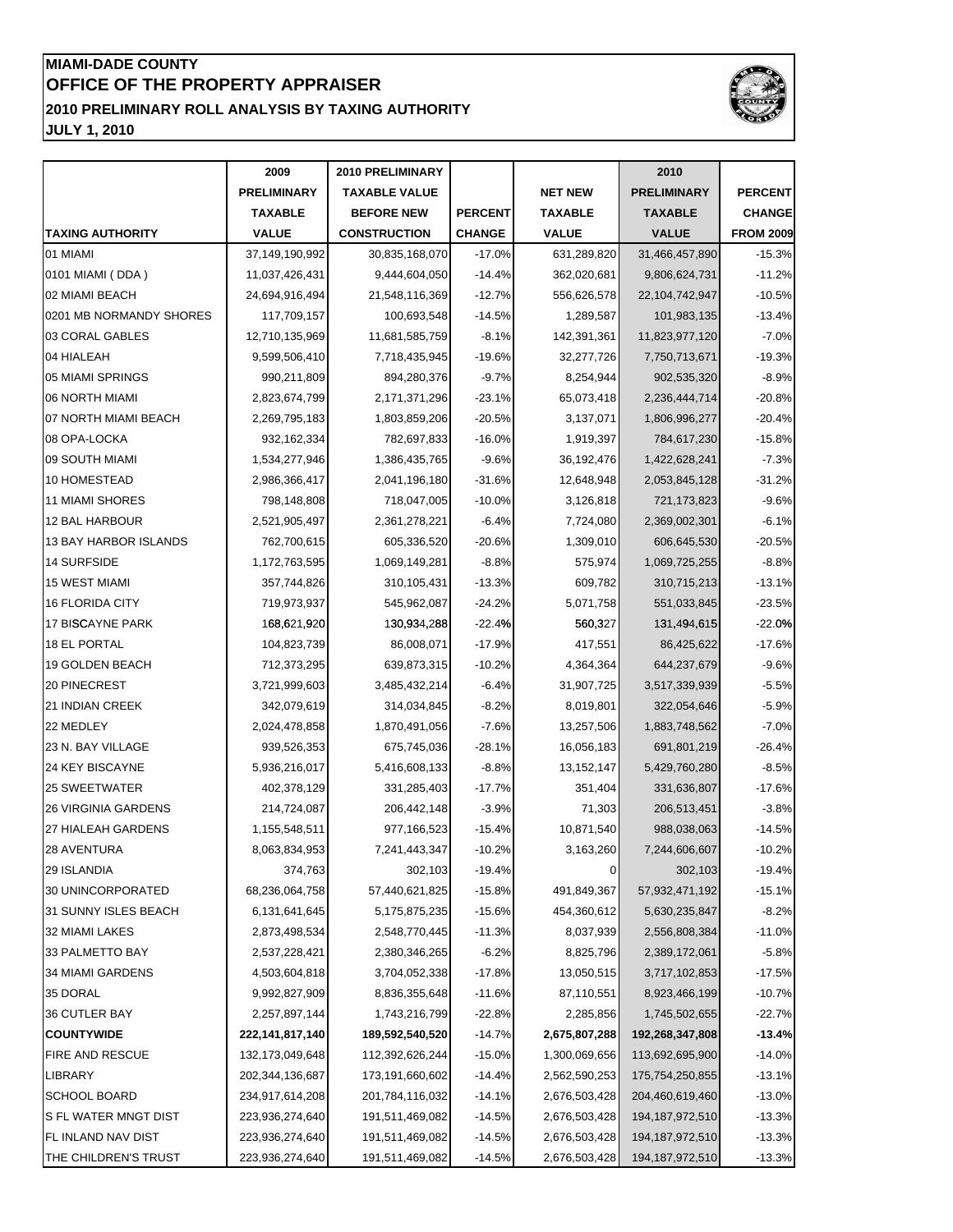### **JULY 1, 2010 MIAMI-DADE COUNTY OFFICE OF THE PROPERTY APPRAISER 2010 PRELIMINARY ROLL ANALYSIS BY TAXING AUTHORITY**



**2009 2010 PRELIMINARY 2010** PRELIMINARY | TAXABLE VALUE | NET NEW | PRELIMINARY | PERCENT **TAXABLE BEFORE NEW PERCENT TAXABLE TAXABLE CHANGE TAXING AUTHORITY VALUE CONSTRUCTION CHANGE VALUE VALUE FROM 2009** 01 MIAMI 37,149,190,992 30,835,168,070 -17.0% 631,289,820 31,466,457,890 -15.3% 0101 MIAMI(DDA) 11,037,426,431 9,444,604,050 -14.4% 362,020,681 9,806,624,731 -11.2% 02 MIAMI BEACH 24,694,916,494 21,548,116,369 -12.7% 556,626,578 22,104,742,947 -10.5% 0201 MB NORMANDY SHORES | 117,709,157 100,693,548 14.5% 1,289,587 101,983,135 101, 03 CORAL GABLES | 12,710,135,969 | 11,681,585,759 | -8.1% | 142,391,361 | 11,823,977,120 | -7.0% 04 HIALEAH 9,599,506,410 7,718,435,945 -19.6% 32,277,726 7,750,713,671 -19.3% 05 MIAMI SPRINGS 990,211,809 894,280,376 -9.7% 8,254,944 902,535,320 -8.9% 06 NORTH MIAMI 2,823,674,799 2,171,371,296 -23.1% 65,073,418 2,236,444,714 -20.8% 07 NORTH MIAMI BEACH  $\vert$  2,269,795,183  $\vert$  1,803,859,206 -20.5% 3,137,071 1,806,996,277 -20.4% 08 OPA-LOCKA 932,162,334 782,697,833 -16.0% 1,919,397 784,617,230 -15.8% 09 SOUTH MIAMI 1,534,277,946 1,386,435,765 -9.6% 36,192,476 1,422,628,241 -7.3% 10 HOMESTEAD 2,986,366,417 2,041,196,180 -31.6% 12,648,948 2,053,845,128 -31.2% 11 MIAMI SHORES 798,148,808 718,047,005 -10.0% 3,126,818 721,173,823 -9.6% 12 BAL HARBOUR 2,521,905,497 2,361,278,221 -6.4% 7,724,080 2,369,002,301 -6.1% 13 BAY HARBOR ISLANDS 762,700,615 605,336,520 -20.6% 1,309,010 606,645,530 -20.5% 14 SURFSIDE 1,172,763,595 1,069,149,281 -8.8% 575,974 1,069,725,255 -8.8% 15 WEST MIAMI 357,744,826 310,105,431 -13.3% 609,782 310,715,213 -13.1% 16 FLORIDA CITY 719,973,937 545,962,087 -24.2% 5,071,758 551,033,845 -23.5% 17 BISCAYNE PARK 168,621,920 130,934,288 -22.4% 560,327 131,494,615 -22.0% 17 BISCAYNE PARK 168,621,920 130,934,288 -22.4% 560,327 131,494,615 -22.0%<br>18 EL PORTAL 104,823,739 86,008,071 -17.9% 417,551 86,425,622 -17.6% 19 GOLDEN BEACH 712,373,295 639,873,315 -10.2% 4,364,364 644,237,679 -9.6% 20 PINECREST 3,721,999,603 3,485,432,214 -6.4% 31,907,725 3,517,339,939 -5.5% 21 INDIAN CREEK 342,079,619 314,034,845 -8.2% 8,019,801 322,054,646 -5.9% 22 MEDLEY 2,024,478,858 1,870,491,056 -7.6% 13,257,506 1,883,748,562 -7.0% 23 N. BAY VILLAGE 939,526,353 675,745,036 -28.1% 16,056,183 691,801,219 -26.4% 24 KEY BISCAYNE **120 13, 13, 13, 13, 14, 14, 14, 14, 14, 14, 14, 14, 15**, 152,147 **14**, 15,429,760,280 13,152,147 **14** 25 SWEETWATER 402,378,129 331,285,403 -17.7% 351,404 331,636,807 -17.6% 26 VIRGINIA GARDENS 214,724,087 206,442,148 -3.9% 71,303 206,513,451 -3.8% 27 HIALEAH GARDENS | 1,155,548,511 977,166,523 -15.4% 10,871,540 988,038,063 -14.5% 28 AVENTURA 8,063,834,953 7,241,443,347 -10.2% 3,163,260 7,244,606,607 -10.2% 29 ISLANDIA 374,763 302,103 -19.4% 0 302,103 -19.4% 30 UNINCORPORATED 68,236,064,758 57,440,621,825 -15.8% 491,849,367 57,932,471,192 -15.1% 31 SUNNY ISLES BEACH  $\begin{array}{|l} \hline \end{array}$  6,131,641,645 5,175,875,235 -15.6% 454,360,612 5,630,235,847 -8.2% 32 MIAMI LAKES 2,873,498,534 2,548,770,445 -11.3% 8,037,939 2,556,808,384 -11.0% 33 PALMETTO BAY 2,537,228,421 2,380,346,265 -6.2% 8,825,796 2,389,172,061 -5.8% 34 MIAMI GARDENS 4,503,604,818 3,704,052,338 -17.8% 13,050,515 3,717,102,853 -17.5% 35 DORAL 9,992,827,909 8,836,355,648 -11.6% 87,110,551 8,923,466,199 -10.7% 36 CUTLER BAY 2,257,897,144 1,743,216,799 -22.8% 2,285,856 1,745,502,655 -22.7% **COUNTYWIDE 222,141,817,140 189,592,540,520** -14.7% **2,675,807,288 192,268,347,808 -13.4%** FIRE AND RESCUE 132,173,049,648 112,392,626,244 -15.0% 1,300,069,656 113,692,695,900 -14.0% LIBRARY 202,344,136,687 173,191,660,602 -14.4% 2,562,590,253 175,754,250,855 -13.1% SCHOOL BOARD 234,917,614,208 201,784,116,032 -14.1% 2,676,503,428 204,460,619,460 -13.0% S FL WATER MNGT DIST 223,936,274,640 191,511,469,082 -14.5% 2,676,503,428 194,187,972,510 -13.3% FL INLAND NAV DIST 223,936,274,640 191,511,469,082 -14.5% 2,676,503,428 194,187,972,510 -13.3% THE CHILDREN'S TRUST  $\begin{array}{|c|c|c|c|c|}\n\hline\n&223,936,274,640 & 191,511,469,082 & -14.5\% & 2,676,503,428 & 194,187,972,510 & -13.3\% & 13.39 & 13.39 & 13.39 & 13.39 & 13.39 & 13.39 & 13.39 & 13.39 & 13.39 & 13.39 & 13.39 & 13.39 & 13.39 & 13.3$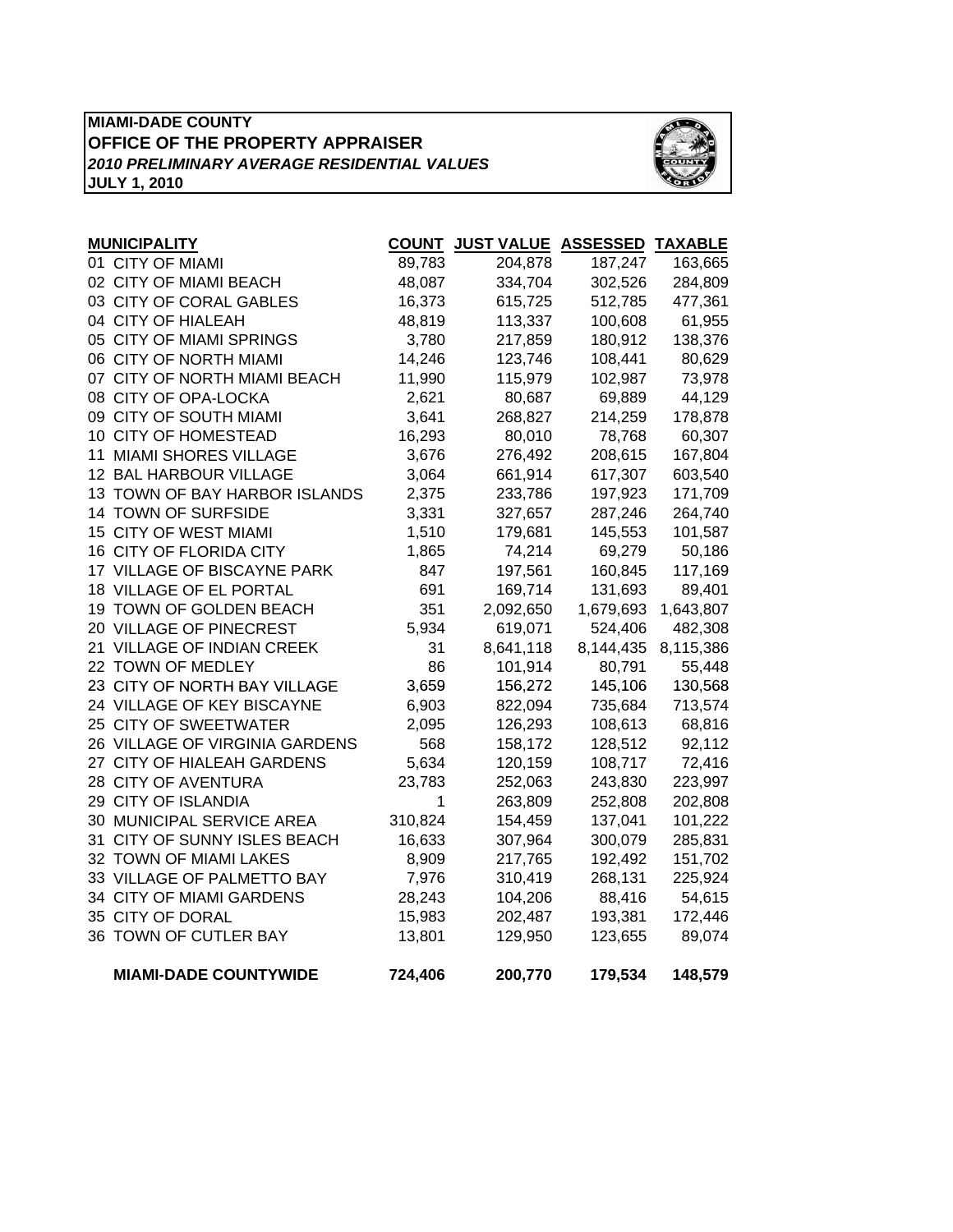### **MIAMI-DADE COUNTY OFFICE OF THE PROPERTY APPRAISER JULY 1, 2010** *2010 PRELIMINARY AVERAGE RESIDENTIAL VALUES*



| <b>MUNICIPALITY</b>            | <b>COUNT</b> | <b>JUST VALUE ASSESSED</b> |           | <b>TAXABLE</b> |
|--------------------------------|--------------|----------------------------|-----------|----------------|
| 01 CITY OF MIAMI               | 89,783       | 204,878                    | 187,247   | 163,665        |
| 02 CITY OF MIAMI BEACH         | 48,087       | 334,704                    | 302,526   | 284,809        |
| 03 CITY OF CORAL GABLES        | 16,373       | 615,725                    | 512,785   | 477,361        |
| 04 CITY OF HIALEAH             | 48,819       | 113,337                    | 100,608   | 61,955         |
| 05 CITY OF MIAMI SPRINGS       | 3,780        | 217,859                    | 180,912   | 138,376        |
| 06 CITY OF NORTH MIAMI         | 14,246       | 123,746                    | 108,441   | 80,629         |
| 07 CITY OF NORTH MIAMI BEACH   | 11,990       | 115,979                    | 102,987   | 73,978         |
| 08 CITY OF OPA-LOCKA           | 2,621        | 80,687                     | 69,889    | 44,129         |
| 09 CITY OF SOUTH MIAMI         | 3,641        | 268,827                    | 214,259   | 178,878        |
| 10 CITY OF HOMESTEAD           | 16,293       | 80,010                     | 78,768    | 60,307         |
| 11 MIAMI SHORES VILLAGE        | 3,676        | 276,492                    | 208,615   | 167,804        |
| 12 BAL HARBOUR VILLAGE         | 3,064        | 661,914                    | 617,307   | 603,540        |
| 13 TOWN OF BAY HARBOR ISLANDS  | 2,375        | 233,786                    | 197,923   | 171,709        |
| 14 TOWN OF SURFSIDE            | 3,331        | 327,657                    | 287,246   | 264,740        |
| 15 CITY OF WEST MIAMI          | 1,510        | 179,681                    | 145,553   | 101,587        |
| 16 CITY OF FLORIDA CITY        | 1,865        | 74,214                     | 69,279    | 50,186         |
| 17 VILLAGE OF BISCAYNE PARK    | 847          | 197,561                    | 160,845   | 117,169        |
| 18 VILLAGE OF EL PORTAL        | 691          | 169,714                    | 131,693   | 89,401         |
| 19 TOWN OF GOLDEN BEACH        | 351          | 2,092,650                  | 1,679,693 | 1,643,807      |
| 20 VILLAGE OF PINECREST        | 5,934        | 619,071                    | 524,406   | 482,308        |
| 21 VILLAGE OF INDIAN CREEK     | 31           | 8,641,118                  | 8,144,435 | 8,115,386      |
| 22 TOWN OF MEDLEY              | 86           | 101,914                    | 80,791    | 55,448         |
| 23 CITY OF NORTH BAY VILLAGE   | 3,659        | 156,272                    | 145,106   | 130,568        |
| 24 VILLAGE OF KEY BISCAYNE     | 6,903        | 822,094                    | 735,684   | 713,574        |
| 25 CITY OF SWEETWATER          | 2,095        | 126,293                    | 108,613   | 68,816         |
| 26 VILLAGE OF VIRGINIA GARDENS | 568          | 158,172                    | 128,512   | 92,112         |
| 27 CITY OF HIALEAH GARDENS     | 5,634        | 120,159                    | 108,717   | 72,416         |
| 28 CITY OF AVENTURA            | 23,783       | 252,063                    | 243,830   | 223,997        |
| 29 CITY OF ISLANDIA            | 1            | 263,809                    | 252,808   | 202,808        |
| 30 MUNICIPAL SERVICE AREA      | 310,824      | 154,459                    | 137,041   | 101,222        |
| 31 CITY OF SUNNY ISLES BEACH   | 16,633       | 307,964                    | 300,079   | 285,831        |
| 32 TOWN OF MIAMI LAKES         | 8,909        | 217,765                    | 192,492   | 151,702        |
| 33 VILLAGE OF PALMETTO BAY     | 7,976        | 310,419                    | 268,131   | 225,924        |
| 34 CITY OF MIAMI GARDENS       | 28,243       | 104,206                    | 88,416    | 54,615         |
| 35 CITY OF DORAL               | 15,983       | 202,487                    | 193,381   | 172,446        |
| 36 TOWN OF CUTLER BAY          | 13,801       | 129,950                    | 123,655   | 89,074         |
| <b>MIAMI-DADE COUNTYWIDE</b>   | 724,406      | 200,770                    | 179,534   | 148,579        |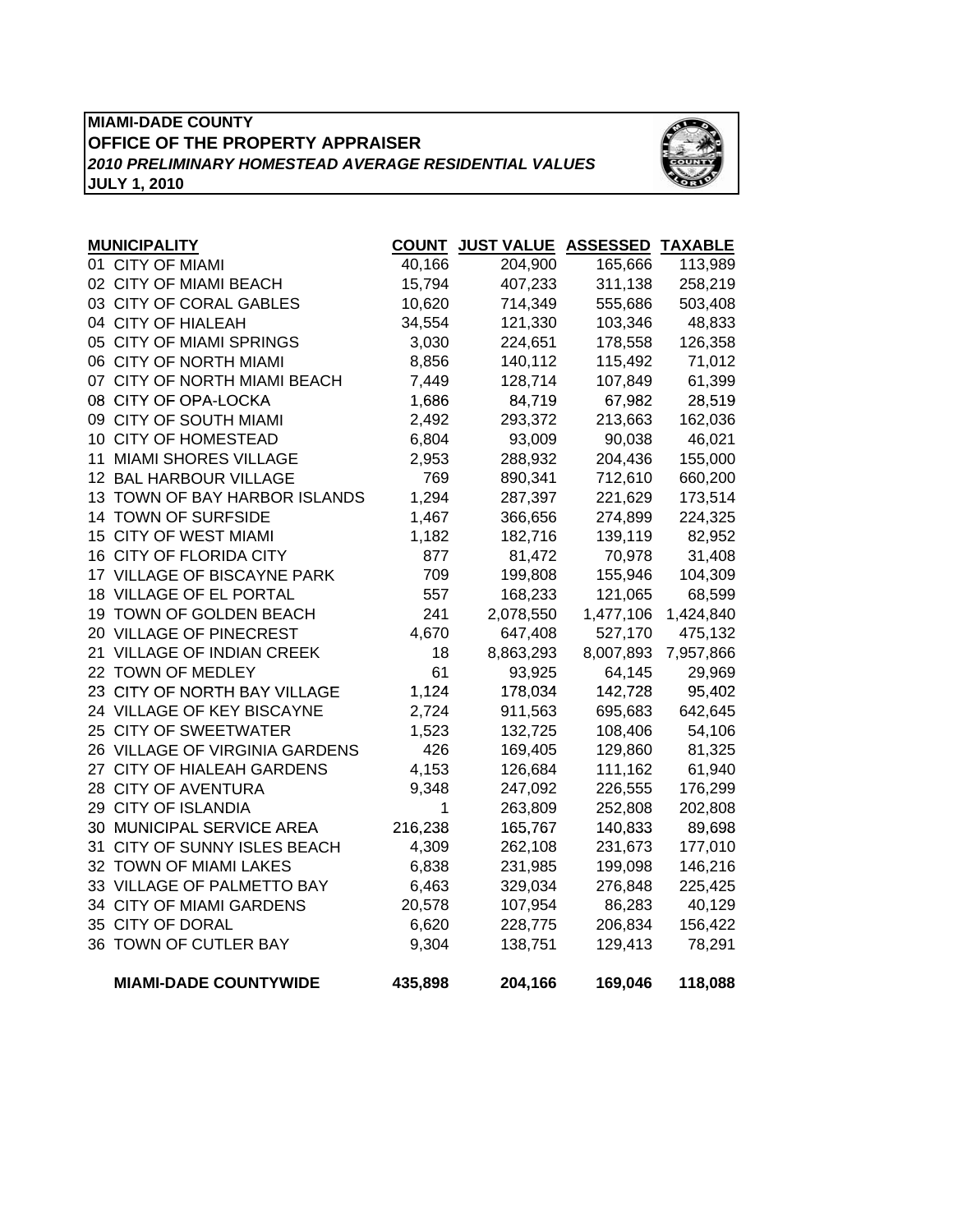## **MIAMI-DADE COUNTY OFFICE OF THE PROPERTY APPRAISER** *2010 PRELIMINARY HOMESTEAD AVERAGE RESIDENTIAL VALUES* **JULY 1, 2010**



| <b>MUNICIPALITY</b>            |         | COUNT JUST VALUE ASSESSED TAXABLE |           |           |
|--------------------------------|---------|-----------------------------------|-----------|-----------|
| 01 CITY OF MIAMI               | 40,166  | 204,900                           | 165,666   | 113,989   |
| 02 CITY OF MIAMI BEACH         | 15,794  | 407,233                           | 311,138   | 258,219   |
| 03 CITY OF CORAL GABLES        | 10,620  | 714,349                           | 555,686   | 503,408   |
| 04 CITY OF HIALEAH             | 34,554  | 121,330                           | 103,346   | 48,833    |
| 05 CITY OF MIAMI SPRINGS       | 3,030   | 224,651                           | 178,558   | 126,358   |
| 06 CITY OF NORTH MIAMI         | 8,856   | 140,112                           | 115,492   | 71,012    |
| 07 CITY OF NORTH MIAMI BEACH   | 7,449   | 128,714                           | 107,849   | 61,399    |
| 08 CITY OF OPA-LOCKA           | 1,686   | 84,719                            | 67,982    | 28,519    |
| 09 CITY OF SOUTH MIAMI         | 2,492   | 293,372                           | 213,663   | 162,036   |
| 10 CITY OF HOMESTEAD           | 6,804   | 93,009                            | 90,038    | 46,021    |
| 11 MIAMI SHORES VILLAGE        | 2,953   | 288,932                           | 204,436   | 155,000   |
| 12 BAL HARBOUR VILLAGE         | 769     | 890,341                           | 712,610   | 660,200   |
| 13 TOWN OF BAY HARBOR ISLANDS  | 1,294   | 287,397                           | 221,629   | 173,514   |
| 14 TOWN OF SURFSIDE            | 1,467   | 366,656                           | 274,899   | 224,325   |
| 15 CITY OF WEST MIAMI          | 1,182   | 182,716                           | 139,119   | 82,952    |
| 16 CITY OF FLORIDA CITY        | 877     | 81,472                            | 70,978    | 31,408    |
| 17 VILLAGE OF BISCAYNE PARK    | 709     | 199,808                           | 155,946   | 104,309   |
| 18 VILLAGE OF EL PORTAL        | 557     | 168,233                           | 121,065   | 68,599    |
| 19 TOWN OF GOLDEN BEACH        | 241     | 2,078,550                         | 1,477,106 | 1,424,840 |
| 20 VILLAGE OF PINECREST        | 4,670   | 647,408                           | 527,170   | 475,132   |
| 21 VILLAGE OF INDIAN CREEK     | 18      | 8,863,293                         | 8,007,893 | 7,957,866 |
| 22 TOWN OF MEDLEY              | 61      | 93,925                            | 64,145    | 29,969    |
| 23 CITY OF NORTH BAY VILLAGE   | 1,124   | 178,034                           | 142,728   | 95,402    |
| 24 VILLAGE OF KEY BISCAYNE     | 2,724   | 911,563                           | 695,683   | 642,645   |
| 25 CITY OF SWEETWATER          | 1,523   | 132,725                           | 108,406   | 54,106    |
| 26 VILLAGE OF VIRGINIA GARDENS | 426     | 169,405                           | 129,860   | 81,325    |
| 27 CITY OF HIALEAH GARDENS     | 4,153   | 126,684                           | 111,162   | 61,940    |
| 28 CITY OF AVENTURA            | 9,348   | 247,092                           | 226,555   | 176,299   |
| 29 CITY OF ISLANDIA            | 1       | 263,809                           | 252,808   | 202,808   |
| 30 MUNICIPAL SERVICE AREA      | 216,238 | 165,767                           | 140,833   | 89,698    |
| 31 CITY OF SUNNY ISLES BEACH   | 4,309   | 262,108                           | 231,673   | 177,010   |
| 32 TOWN OF MIAMI LAKES         | 6,838   | 231,985                           | 199,098   | 146,216   |
| 33 VILLAGE OF PALMETTO BAY     | 6,463   | 329,034                           | 276,848   | 225,425   |
| 34 CITY OF MIAMI GARDENS       | 20,578  | 107,954                           | 86,283    | 40,129    |
| 35 CITY OF DORAL               | 6,620   | 228,775                           | 206,834   | 156,422   |
| 36 TOWN OF CUTLER BAY          | 9,304   | 138,751                           | 129,413   | 78,291    |
| <b>MIAMI-DADE COUNTYWIDE</b>   | 435,898 | 204,166                           | 169,046   | 118,088   |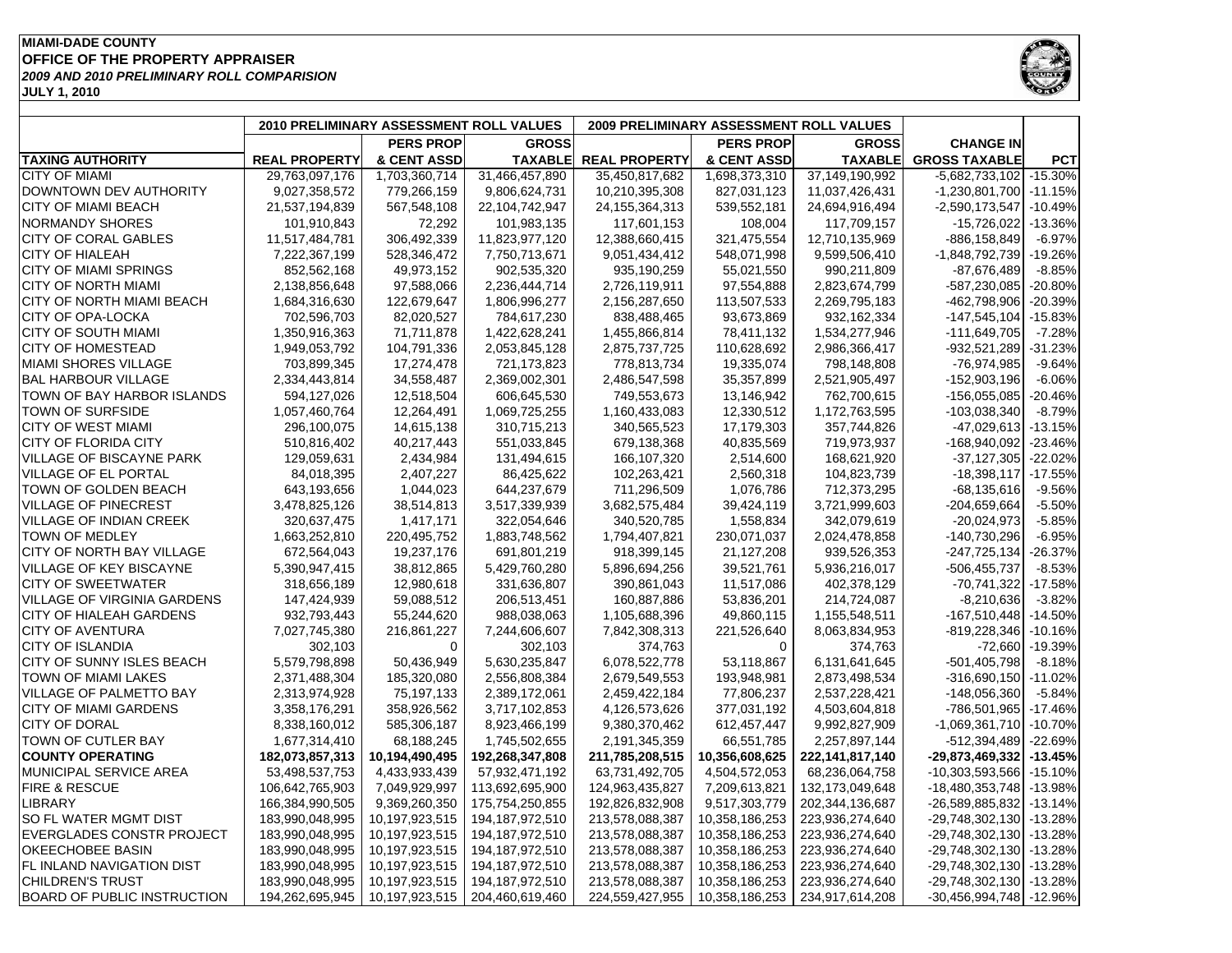#### **MIAMI-DADE COUNTY OFFICE OF THE PROPERTY APPRAISER JULY 1, 2010** *2009 AND 2010 PRELIMINARY ROLL COMPARISION*



| <b>PERS PROP</b><br><b>PERS PROP</b><br><b>GROSS</b><br><b>GROSS</b><br><b>CHANGE IN</b><br>& CENT ASSD<br><b>TAXING AUTHORITY</b><br><b>REAL PROPERTY</b><br><b>TAXABLE</b><br><b>REAL PROPERTY</b><br>& CENT ASSD<br><b>TAXABLE</b><br><b>GROSS TAXABLE</b><br><b>PCT</b><br><b>CITY OF MIAMI</b><br>29,763,097,176<br>1,703,360,714<br>31,466,457,890<br>35,450,817,682<br>1,698,373,310<br>37,149,190,992<br>$-5,682,733,102$ -15.30%<br>DOWNTOWN DEV AUTHORITY<br>827,031,123<br>11,037,426,431<br>9,027,358,572<br>779,266,159<br>9,806,624,731<br>10,210,395,308<br>-1,230,801,700 -11.15%<br><b>CITY OF MIAMI BEACH</b><br>21,537,194,839<br>567,548,108<br>22,104,742,947<br>24,155,364,313<br>539,552,181<br>24,694,916,494<br>$-2,590,173,547$<br>$-10.49%$<br><b>NORMANDY SHORES</b><br>101,910,843<br>72,292<br>101,983,135<br>117,601,153<br>108,004<br>117,709,157<br>$-15,726,022$<br>$-13.36%$<br>306,492,339<br>CITY OF CORAL GABLES<br>11,517,484,781<br>11,823,977,120<br>12,388,660,415<br>321,475,554<br>12,710,135,969<br>-886,158,849<br>$-6.97%$<br><b>CITY OF HIALEAH</b><br>7,222,367,199<br>528,346,472<br>7,750,713,671<br>9,051,434,412<br>548,071,998<br>9,599,506,410<br>$-1,848,792,739$<br>$-19.26%$<br>CITY OF MIAMI SPRINGS<br>49,973,152<br>935,190,259<br>990,211,809<br>$-8.85%$<br>852,562,168<br>902,535,320<br>55,021,550<br>-87,676,489<br><b>CITY OF NORTH MIAMI</b><br>2,138,856,648<br>97,588,066<br>2,823,674,799<br>$-587,230,085$<br>2,236,444,714<br>2,726,119,911<br>97,554,888<br>$-20.80%$<br>$-20.39%$<br>CITY OF NORTH MIAMI BEACH<br>1,684,316,630<br>122,679,647<br>1,806,996,277<br>2,156,287,650<br>113,507,533<br>2,269,795,183<br>$-462,798,906$<br>CITY OF OPA-LOCKA<br>702,596,703<br>82,020,527<br>932,162,334<br>784,617,230<br>838,488,465<br>93,673,869<br>$-147,545,104$<br>$-15.83%$<br><b>CITY OF SOUTH MIAMI</b><br>1,350,916,363<br>71,711,878<br>$-111,649,705$<br>$-7.28%$<br>1,422,628,241<br>1,455,866,814<br>78,411,132<br>1,534,277,946<br><b>CITY OF HOMESTEAD</b><br>1,949,053,792<br>104,791,336<br>2,053,845,128<br>2,875,737,725<br>2,986,366,417<br>-932,521,289<br>$-31.23%$<br>110,628,692<br><b>MIAMI SHORES VILLAGE</b><br>703,899,345<br>17,274,478<br>721,173,823<br>19,335,074<br>798,148,808<br>-76,974,985<br>$-9.64%$<br>778,813,734<br><b>BAL HARBOUR VILLAGE</b><br>2,334,443,814<br>34,558,487<br>2,369,002,301<br>35,357,899<br>2,521,905,497<br>$-152,903,196$<br>$-6.06%$<br>2,486,547,598<br>TOWN OF BAY HARBOR ISLANDS<br>594,127,026<br>12,518,504<br>606,645,530<br>749,553,673<br>13,146,942<br>762,700,615<br>$-156,055,085$<br>-20.46%<br><b>TOWN OF SURFSIDE</b><br>1,057,460,764<br>12,264,491<br>1,069,725,255<br>1,160,433,083<br>12,330,512<br>1,172,763,595<br>$-103,038,340$<br>$-8.79%$<br>17,179,303<br><b>CITY OF WEST MIAMI</b><br>296,100,075<br>14,615,138<br>310,715,213<br>340,565,523<br>357,744,826<br>$-47,029,613$ -13.15%<br><b>CITY OF FLORIDA CITY</b><br>510,816,402<br>40,217,443<br>551,033,845<br>679,138,368<br>40,835,569<br>719,973,937<br>-168,940,092<br>$-23.46%$<br>129,059,631<br>131,494,615<br>$-22.02%$<br><b>VILLAGE OF BISCAYNE PARK</b><br>2,434,984<br>166,107,320<br>2,514,600<br>168,621,920<br>$-37,127,305$<br>$-18,398,117$<br>$-17.55%$<br><b>VILLAGE OF EL PORTAL</b><br>84,018,395<br>2,407,227<br>86,425,622<br>102,263,421<br>2,560,318<br>104,823,739<br>TOWN OF GOLDEN BEACH<br>643,193,656<br>644,237,679<br>711,296,509<br>1,076,786<br>$-68, 135, 616$<br>$-9.56%$<br>1,044,023<br>712,373,295<br>VILLAGE OF PINECREST<br>3,478,825,126<br>3,517,339,939<br>39,424,119<br>3,721,999,603<br>-204,659,664<br>$-5.50%$<br>38,514,813<br>3,682,575,484 |
|-----------------------------------------------------------------------------------------------------------------------------------------------------------------------------------------------------------------------------------------------------------------------------------------------------------------------------------------------------------------------------------------------------------------------------------------------------------------------------------------------------------------------------------------------------------------------------------------------------------------------------------------------------------------------------------------------------------------------------------------------------------------------------------------------------------------------------------------------------------------------------------------------------------------------------------------------------------------------------------------------------------------------------------------------------------------------------------------------------------------------------------------------------------------------------------------------------------------------------------------------------------------------------------------------------------------------------------------------------------------------------------------------------------------------------------------------------------------------------------------------------------------------------------------------------------------------------------------------------------------------------------------------------------------------------------------------------------------------------------------------------------------------------------------------------------------------------------------------------------------------------------------------------------------------------------------------------------------------------------------------------------------------------------------------------------------------------------------------------------------------------------------------------------------------------------------------------------------------------------------------------------------------------------------------------------------------------------------------------------------------------------------------------------------------------------------------------------------------------------------------------------------------------------------------------------------------------------------------------------------------------------------------------------------------------------------------------------------------------------------------------------------------------------------------------------------------------------------------------------------------------------------------------------------------------------------------------------------------------------------------------------------------------------------------------------------------------------------------------------------------------------------------------------------------------------------------------------------------------------------------------------------------------------------------------------------------------------------------------------------------------------------------------------------------------------------------------------------------------------------------------------------------------------------------------------------------------------------------------------------------------------------------------------------------------------------------------------------------|
|                                                                                                                                                                                                                                                                                                                                                                                                                                                                                                                                                                                                                                                                                                                                                                                                                                                                                                                                                                                                                                                                                                                                                                                                                                                                                                                                                                                                                                                                                                                                                                                                                                                                                                                                                                                                                                                                                                                                                                                                                                                                                                                                                                                                                                                                                                                                                                                                                                                                                                                                                                                                                                                                                                                                                                                                                                                                                                                                                                                                                                                                                                                                                                                                                                                                                                                                                                                                                                                                                                                                                                                                                                                                                                                       |
|                                                                                                                                                                                                                                                                                                                                                                                                                                                                                                                                                                                                                                                                                                                                                                                                                                                                                                                                                                                                                                                                                                                                                                                                                                                                                                                                                                                                                                                                                                                                                                                                                                                                                                                                                                                                                                                                                                                                                                                                                                                                                                                                                                                                                                                                                                                                                                                                                                                                                                                                                                                                                                                                                                                                                                                                                                                                                                                                                                                                                                                                                                                                                                                                                                                                                                                                                                                                                                                                                                                                                                                                                                                                                                                       |
|                                                                                                                                                                                                                                                                                                                                                                                                                                                                                                                                                                                                                                                                                                                                                                                                                                                                                                                                                                                                                                                                                                                                                                                                                                                                                                                                                                                                                                                                                                                                                                                                                                                                                                                                                                                                                                                                                                                                                                                                                                                                                                                                                                                                                                                                                                                                                                                                                                                                                                                                                                                                                                                                                                                                                                                                                                                                                                                                                                                                                                                                                                                                                                                                                                                                                                                                                                                                                                                                                                                                                                                                                                                                                                                       |
|                                                                                                                                                                                                                                                                                                                                                                                                                                                                                                                                                                                                                                                                                                                                                                                                                                                                                                                                                                                                                                                                                                                                                                                                                                                                                                                                                                                                                                                                                                                                                                                                                                                                                                                                                                                                                                                                                                                                                                                                                                                                                                                                                                                                                                                                                                                                                                                                                                                                                                                                                                                                                                                                                                                                                                                                                                                                                                                                                                                                                                                                                                                                                                                                                                                                                                                                                                                                                                                                                                                                                                                                                                                                                                                       |
|                                                                                                                                                                                                                                                                                                                                                                                                                                                                                                                                                                                                                                                                                                                                                                                                                                                                                                                                                                                                                                                                                                                                                                                                                                                                                                                                                                                                                                                                                                                                                                                                                                                                                                                                                                                                                                                                                                                                                                                                                                                                                                                                                                                                                                                                                                                                                                                                                                                                                                                                                                                                                                                                                                                                                                                                                                                                                                                                                                                                                                                                                                                                                                                                                                                                                                                                                                                                                                                                                                                                                                                                                                                                                                                       |
|                                                                                                                                                                                                                                                                                                                                                                                                                                                                                                                                                                                                                                                                                                                                                                                                                                                                                                                                                                                                                                                                                                                                                                                                                                                                                                                                                                                                                                                                                                                                                                                                                                                                                                                                                                                                                                                                                                                                                                                                                                                                                                                                                                                                                                                                                                                                                                                                                                                                                                                                                                                                                                                                                                                                                                                                                                                                                                                                                                                                                                                                                                                                                                                                                                                                                                                                                                                                                                                                                                                                                                                                                                                                                                                       |
|                                                                                                                                                                                                                                                                                                                                                                                                                                                                                                                                                                                                                                                                                                                                                                                                                                                                                                                                                                                                                                                                                                                                                                                                                                                                                                                                                                                                                                                                                                                                                                                                                                                                                                                                                                                                                                                                                                                                                                                                                                                                                                                                                                                                                                                                                                                                                                                                                                                                                                                                                                                                                                                                                                                                                                                                                                                                                                                                                                                                                                                                                                                                                                                                                                                                                                                                                                                                                                                                                                                                                                                                                                                                                                                       |
|                                                                                                                                                                                                                                                                                                                                                                                                                                                                                                                                                                                                                                                                                                                                                                                                                                                                                                                                                                                                                                                                                                                                                                                                                                                                                                                                                                                                                                                                                                                                                                                                                                                                                                                                                                                                                                                                                                                                                                                                                                                                                                                                                                                                                                                                                                                                                                                                                                                                                                                                                                                                                                                                                                                                                                                                                                                                                                                                                                                                                                                                                                                                                                                                                                                                                                                                                                                                                                                                                                                                                                                                                                                                                                                       |
|                                                                                                                                                                                                                                                                                                                                                                                                                                                                                                                                                                                                                                                                                                                                                                                                                                                                                                                                                                                                                                                                                                                                                                                                                                                                                                                                                                                                                                                                                                                                                                                                                                                                                                                                                                                                                                                                                                                                                                                                                                                                                                                                                                                                                                                                                                                                                                                                                                                                                                                                                                                                                                                                                                                                                                                                                                                                                                                                                                                                                                                                                                                                                                                                                                                                                                                                                                                                                                                                                                                                                                                                                                                                                                                       |
|                                                                                                                                                                                                                                                                                                                                                                                                                                                                                                                                                                                                                                                                                                                                                                                                                                                                                                                                                                                                                                                                                                                                                                                                                                                                                                                                                                                                                                                                                                                                                                                                                                                                                                                                                                                                                                                                                                                                                                                                                                                                                                                                                                                                                                                                                                                                                                                                                                                                                                                                                                                                                                                                                                                                                                                                                                                                                                                                                                                                                                                                                                                                                                                                                                                                                                                                                                                                                                                                                                                                                                                                                                                                                                                       |
|                                                                                                                                                                                                                                                                                                                                                                                                                                                                                                                                                                                                                                                                                                                                                                                                                                                                                                                                                                                                                                                                                                                                                                                                                                                                                                                                                                                                                                                                                                                                                                                                                                                                                                                                                                                                                                                                                                                                                                                                                                                                                                                                                                                                                                                                                                                                                                                                                                                                                                                                                                                                                                                                                                                                                                                                                                                                                                                                                                                                                                                                                                                                                                                                                                                                                                                                                                                                                                                                                                                                                                                                                                                                                                                       |
|                                                                                                                                                                                                                                                                                                                                                                                                                                                                                                                                                                                                                                                                                                                                                                                                                                                                                                                                                                                                                                                                                                                                                                                                                                                                                                                                                                                                                                                                                                                                                                                                                                                                                                                                                                                                                                                                                                                                                                                                                                                                                                                                                                                                                                                                                                                                                                                                                                                                                                                                                                                                                                                                                                                                                                                                                                                                                                                                                                                                                                                                                                                                                                                                                                                                                                                                                                                                                                                                                                                                                                                                                                                                                                                       |
|                                                                                                                                                                                                                                                                                                                                                                                                                                                                                                                                                                                                                                                                                                                                                                                                                                                                                                                                                                                                                                                                                                                                                                                                                                                                                                                                                                                                                                                                                                                                                                                                                                                                                                                                                                                                                                                                                                                                                                                                                                                                                                                                                                                                                                                                                                                                                                                                                                                                                                                                                                                                                                                                                                                                                                                                                                                                                                                                                                                                                                                                                                                                                                                                                                                                                                                                                                                                                                                                                                                                                                                                                                                                                                                       |
|                                                                                                                                                                                                                                                                                                                                                                                                                                                                                                                                                                                                                                                                                                                                                                                                                                                                                                                                                                                                                                                                                                                                                                                                                                                                                                                                                                                                                                                                                                                                                                                                                                                                                                                                                                                                                                                                                                                                                                                                                                                                                                                                                                                                                                                                                                                                                                                                                                                                                                                                                                                                                                                                                                                                                                                                                                                                                                                                                                                                                                                                                                                                                                                                                                                                                                                                                                                                                                                                                                                                                                                                                                                                                                                       |
|                                                                                                                                                                                                                                                                                                                                                                                                                                                                                                                                                                                                                                                                                                                                                                                                                                                                                                                                                                                                                                                                                                                                                                                                                                                                                                                                                                                                                                                                                                                                                                                                                                                                                                                                                                                                                                                                                                                                                                                                                                                                                                                                                                                                                                                                                                                                                                                                                                                                                                                                                                                                                                                                                                                                                                                                                                                                                                                                                                                                                                                                                                                                                                                                                                                                                                                                                                                                                                                                                                                                                                                                                                                                                                                       |
|                                                                                                                                                                                                                                                                                                                                                                                                                                                                                                                                                                                                                                                                                                                                                                                                                                                                                                                                                                                                                                                                                                                                                                                                                                                                                                                                                                                                                                                                                                                                                                                                                                                                                                                                                                                                                                                                                                                                                                                                                                                                                                                                                                                                                                                                                                                                                                                                                                                                                                                                                                                                                                                                                                                                                                                                                                                                                                                                                                                                                                                                                                                                                                                                                                                                                                                                                                                                                                                                                                                                                                                                                                                                                                                       |
|                                                                                                                                                                                                                                                                                                                                                                                                                                                                                                                                                                                                                                                                                                                                                                                                                                                                                                                                                                                                                                                                                                                                                                                                                                                                                                                                                                                                                                                                                                                                                                                                                                                                                                                                                                                                                                                                                                                                                                                                                                                                                                                                                                                                                                                                                                                                                                                                                                                                                                                                                                                                                                                                                                                                                                                                                                                                                                                                                                                                                                                                                                                                                                                                                                                                                                                                                                                                                                                                                                                                                                                                                                                                                                                       |
|                                                                                                                                                                                                                                                                                                                                                                                                                                                                                                                                                                                                                                                                                                                                                                                                                                                                                                                                                                                                                                                                                                                                                                                                                                                                                                                                                                                                                                                                                                                                                                                                                                                                                                                                                                                                                                                                                                                                                                                                                                                                                                                                                                                                                                                                                                                                                                                                                                                                                                                                                                                                                                                                                                                                                                                                                                                                                                                                                                                                                                                                                                                                                                                                                                                                                                                                                                                                                                                                                                                                                                                                                                                                                                                       |
|                                                                                                                                                                                                                                                                                                                                                                                                                                                                                                                                                                                                                                                                                                                                                                                                                                                                                                                                                                                                                                                                                                                                                                                                                                                                                                                                                                                                                                                                                                                                                                                                                                                                                                                                                                                                                                                                                                                                                                                                                                                                                                                                                                                                                                                                                                                                                                                                                                                                                                                                                                                                                                                                                                                                                                                                                                                                                                                                                                                                                                                                                                                                                                                                                                                                                                                                                                                                                                                                                                                                                                                                                                                                                                                       |
|                                                                                                                                                                                                                                                                                                                                                                                                                                                                                                                                                                                                                                                                                                                                                                                                                                                                                                                                                                                                                                                                                                                                                                                                                                                                                                                                                                                                                                                                                                                                                                                                                                                                                                                                                                                                                                                                                                                                                                                                                                                                                                                                                                                                                                                                                                                                                                                                                                                                                                                                                                                                                                                                                                                                                                                                                                                                                                                                                                                                                                                                                                                                                                                                                                                                                                                                                                                                                                                                                                                                                                                                                                                                                                                       |
|                                                                                                                                                                                                                                                                                                                                                                                                                                                                                                                                                                                                                                                                                                                                                                                                                                                                                                                                                                                                                                                                                                                                                                                                                                                                                                                                                                                                                                                                                                                                                                                                                                                                                                                                                                                                                                                                                                                                                                                                                                                                                                                                                                                                                                                                                                                                                                                                                                                                                                                                                                                                                                                                                                                                                                                                                                                                                                                                                                                                                                                                                                                                                                                                                                                                                                                                                                                                                                                                                                                                                                                                                                                                                                                       |
|                                                                                                                                                                                                                                                                                                                                                                                                                                                                                                                                                                                                                                                                                                                                                                                                                                                                                                                                                                                                                                                                                                                                                                                                                                                                                                                                                                                                                                                                                                                                                                                                                                                                                                                                                                                                                                                                                                                                                                                                                                                                                                                                                                                                                                                                                                                                                                                                                                                                                                                                                                                                                                                                                                                                                                                                                                                                                                                                                                                                                                                                                                                                                                                                                                                                                                                                                                                                                                                                                                                                                                                                                                                                                                                       |
|                                                                                                                                                                                                                                                                                                                                                                                                                                                                                                                                                                                                                                                                                                                                                                                                                                                                                                                                                                                                                                                                                                                                                                                                                                                                                                                                                                                                                                                                                                                                                                                                                                                                                                                                                                                                                                                                                                                                                                                                                                                                                                                                                                                                                                                                                                                                                                                                                                                                                                                                                                                                                                                                                                                                                                                                                                                                                                                                                                                                                                                                                                                                                                                                                                                                                                                                                                                                                                                                                                                                                                                                                                                                                                                       |
|                                                                                                                                                                                                                                                                                                                                                                                                                                                                                                                                                                                                                                                                                                                                                                                                                                                                                                                                                                                                                                                                                                                                                                                                                                                                                                                                                                                                                                                                                                                                                                                                                                                                                                                                                                                                                                                                                                                                                                                                                                                                                                                                                                                                                                                                                                                                                                                                                                                                                                                                                                                                                                                                                                                                                                                                                                                                                                                                                                                                                                                                                                                                                                                                                                                                                                                                                                                                                                                                                                                                                                                                                                                                                                                       |
| VILLAGE OF INDIAN CREEK<br>320,637,475<br>1,417,171<br>322,054,646<br>340,520,785<br>1,558,834<br>342,079,619<br>$-20,024,973$<br>$-5.85%$                                                                                                                                                                                                                                                                                                                                                                                                                                                                                                                                                                                                                                                                                                                                                                                                                                                                                                                                                                                                                                                                                                                                                                                                                                                                                                                                                                                                                                                                                                                                                                                                                                                                                                                                                                                                                                                                                                                                                                                                                                                                                                                                                                                                                                                                                                                                                                                                                                                                                                                                                                                                                                                                                                                                                                                                                                                                                                                                                                                                                                                                                                                                                                                                                                                                                                                                                                                                                                                                                                                                                                            |
| TOWN OF MEDLEY<br>$-6.95%$<br>1,663,252,810<br>220,495,752<br>1,883,748,562<br>1,794,407,821<br>230,071,037<br>2,024,478,858<br>-140,730,296                                                                                                                                                                                                                                                                                                                                                                                                                                                                                                                                                                                                                                                                                                                                                                                                                                                                                                                                                                                                                                                                                                                                                                                                                                                                                                                                                                                                                                                                                                                                                                                                                                                                                                                                                                                                                                                                                                                                                                                                                                                                                                                                                                                                                                                                                                                                                                                                                                                                                                                                                                                                                                                                                                                                                                                                                                                                                                                                                                                                                                                                                                                                                                                                                                                                                                                                                                                                                                                                                                                                                                          |
| CITY OF NORTH BAY VILLAGE<br>19,237,176<br>672,564,043<br>691,801,219<br>918,399,145<br>21,127,208<br>939,526,353<br>$-247,725,134$<br>-26.37%                                                                                                                                                                                                                                                                                                                                                                                                                                                                                                                                                                                                                                                                                                                                                                                                                                                                                                                                                                                                                                                                                                                                                                                                                                                                                                                                                                                                                                                                                                                                                                                                                                                                                                                                                                                                                                                                                                                                                                                                                                                                                                                                                                                                                                                                                                                                                                                                                                                                                                                                                                                                                                                                                                                                                                                                                                                                                                                                                                                                                                                                                                                                                                                                                                                                                                                                                                                                                                                                                                                                                                        |
| 5,390,947,415<br><b>VILLAGE OF KEY BISCAYNE</b><br>38,812,865<br>5,429,760,280<br>5,896,694,256<br>39,521,761<br>5,936,216,017<br>-506,455,737<br>$-8.53%$                                                                                                                                                                                                                                                                                                                                                                                                                                                                                                                                                                                                                                                                                                                                                                                                                                                                                                                                                                                                                                                                                                                                                                                                                                                                                                                                                                                                                                                                                                                                                                                                                                                                                                                                                                                                                                                                                                                                                                                                                                                                                                                                                                                                                                                                                                                                                                                                                                                                                                                                                                                                                                                                                                                                                                                                                                                                                                                                                                                                                                                                                                                                                                                                                                                                                                                                                                                                                                                                                                                                                            |
| <b>CITY OF SWEETWATER</b><br>12,980,618<br>331,636,807<br>318,656,189<br>390,861,043<br>11,517,086<br>402,378,129<br>$-70,741,322$<br>$-17.58%$                                                                                                                                                                                                                                                                                                                                                                                                                                                                                                                                                                                                                                                                                                                                                                                                                                                                                                                                                                                                                                                                                                                                                                                                                                                                                                                                                                                                                                                                                                                                                                                                                                                                                                                                                                                                                                                                                                                                                                                                                                                                                                                                                                                                                                                                                                                                                                                                                                                                                                                                                                                                                                                                                                                                                                                                                                                                                                                                                                                                                                                                                                                                                                                                                                                                                                                                                                                                                                                                                                                                                                       |
| <b>VILLAGE OF VIRGINIA GARDENS</b><br>147,424,939<br>59,088,512<br>206,513,451<br>$-8,210,636$<br>$-3.82%$<br>160,887,886<br>53,836,201<br>214,724,087                                                                                                                                                                                                                                                                                                                                                                                                                                                                                                                                                                                                                                                                                                                                                                                                                                                                                                                                                                                                                                                                                                                                                                                                                                                                                                                                                                                                                                                                                                                                                                                                                                                                                                                                                                                                                                                                                                                                                                                                                                                                                                                                                                                                                                                                                                                                                                                                                                                                                                                                                                                                                                                                                                                                                                                                                                                                                                                                                                                                                                                                                                                                                                                                                                                                                                                                                                                                                                                                                                                                                                |
| <b>CITY OF HIALEAH GARDENS</b><br>932,793,443<br>988,038,063<br>49,860,115<br>$-167,510,448$ $-14.50\%$<br>55,244,620<br>1,105,688,396<br>1,155,548,511                                                                                                                                                                                                                                                                                                                                                                                                                                                                                                                                                                                                                                                                                                                                                                                                                                                                                                                                                                                                                                                                                                                                                                                                                                                                                                                                                                                                                                                                                                                                                                                                                                                                                                                                                                                                                                                                                                                                                                                                                                                                                                                                                                                                                                                                                                                                                                                                                                                                                                                                                                                                                                                                                                                                                                                                                                                                                                                                                                                                                                                                                                                                                                                                                                                                                                                                                                                                                                                                                                                                                               |
| <b>CITY OF AVENTURA</b><br>7,027,745,380<br>7,244,606,607<br>8,063,834,953<br>$-819,228,346$ -10.16%<br>216,861,227<br>7,842,308,313<br>221,526,640                                                                                                                                                                                                                                                                                                                                                                                                                                                                                                                                                                                                                                                                                                                                                                                                                                                                                                                                                                                                                                                                                                                                                                                                                                                                                                                                                                                                                                                                                                                                                                                                                                                                                                                                                                                                                                                                                                                                                                                                                                                                                                                                                                                                                                                                                                                                                                                                                                                                                                                                                                                                                                                                                                                                                                                                                                                                                                                                                                                                                                                                                                                                                                                                                                                                                                                                                                                                                                                                                                                                                                   |
| <b>CITY OF ISLANDIA</b><br>302,103<br>302,103<br>374,763<br>374,763<br>-72,660 -19.39%<br>$\Omega$<br>$\Omega$                                                                                                                                                                                                                                                                                                                                                                                                                                                                                                                                                                                                                                                                                                                                                                                                                                                                                                                                                                                                                                                                                                                                                                                                                                                                                                                                                                                                                                                                                                                                                                                                                                                                                                                                                                                                                                                                                                                                                                                                                                                                                                                                                                                                                                                                                                                                                                                                                                                                                                                                                                                                                                                                                                                                                                                                                                                                                                                                                                                                                                                                                                                                                                                                                                                                                                                                                                                                                                                                                                                                                                                                        |
| 5,579,798,898<br>CITY OF SUNNY ISLES BEACH<br>50,436,949<br>5,630,235,847<br>6,078,522,778<br>6,131,641,645<br>$-501,405,798$<br>$-8.18%$<br>53,118,867                                                                                                                                                                                                                                                                                                                                                                                                                                                                                                                                                                                                                                                                                                                                                                                                                                                                                                                                                                                                                                                                                                                                                                                                                                                                                                                                                                                                                                                                                                                                                                                                                                                                                                                                                                                                                                                                                                                                                                                                                                                                                                                                                                                                                                                                                                                                                                                                                                                                                                                                                                                                                                                                                                                                                                                                                                                                                                                                                                                                                                                                                                                                                                                                                                                                                                                                                                                                                                                                                                                                                               |
| TOWN OF MIAMI LAKES<br>2,371,488,304<br>185,320,080<br>2,556,808,384<br>2,679,549,553<br>193,948,981<br>2,873,498,534<br>$-316,690,150$<br>$-11.02%$                                                                                                                                                                                                                                                                                                                                                                                                                                                                                                                                                                                                                                                                                                                                                                                                                                                                                                                                                                                                                                                                                                                                                                                                                                                                                                                                                                                                                                                                                                                                                                                                                                                                                                                                                                                                                                                                                                                                                                                                                                                                                                                                                                                                                                                                                                                                                                                                                                                                                                                                                                                                                                                                                                                                                                                                                                                                                                                                                                                                                                                                                                                                                                                                                                                                                                                                                                                                                                                                                                                                                                  |
| VILLAGE OF PALMETTO BAY<br>2,313,974,928<br>75,197,133<br>2,459,422,184<br>77,806,237<br>$-148,056,360$<br>$-5.84%$<br>2,389,172,061<br>2,537,228,421                                                                                                                                                                                                                                                                                                                                                                                                                                                                                                                                                                                                                                                                                                                                                                                                                                                                                                                                                                                                                                                                                                                                                                                                                                                                                                                                                                                                                                                                                                                                                                                                                                                                                                                                                                                                                                                                                                                                                                                                                                                                                                                                                                                                                                                                                                                                                                                                                                                                                                                                                                                                                                                                                                                                                                                                                                                                                                                                                                                                                                                                                                                                                                                                                                                                                                                                                                                                                                                                                                                                                                 |
| 358,926,562<br><b>CITY OF MIAMI GARDENS</b><br>3,358,176,291<br>3,717,102,853<br>4,126,573,626<br>377,031,192<br>4,503,604,818<br>-786,501,965 -17.46%                                                                                                                                                                                                                                                                                                                                                                                                                                                                                                                                                                                                                                                                                                                                                                                                                                                                                                                                                                                                                                                                                                                                                                                                                                                                                                                                                                                                                                                                                                                                                                                                                                                                                                                                                                                                                                                                                                                                                                                                                                                                                                                                                                                                                                                                                                                                                                                                                                                                                                                                                                                                                                                                                                                                                                                                                                                                                                                                                                                                                                                                                                                                                                                                                                                                                                                                                                                                                                                                                                                                                                |
| <b>CITY OF DORAL</b><br>585,306,187<br>9,992,827,909<br>$-1,069,361,710$ $-10.70%$<br>8,338,160,012<br>8,923,466,199<br>9,380,370,462<br>612,457,447                                                                                                                                                                                                                                                                                                                                                                                                                                                                                                                                                                                                                                                                                                                                                                                                                                                                                                                                                                                                                                                                                                                                                                                                                                                                                                                                                                                                                                                                                                                                                                                                                                                                                                                                                                                                                                                                                                                                                                                                                                                                                                                                                                                                                                                                                                                                                                                                                                                                                                                                                                                                                                                                                                                                                                                                                                                                                                                                                                                                                                                                                                                                                                                                                                                                                                                                                                                                                                                                                                                                                                  |
| TOWN OF CUTLER BAY<br>1,677,314,410<br>68,188,245<br>66,551,785<br>2,257,897,144<br>-512,394,489 -22.69%<br>1,745,502,655<br>2,191,345,359                                                                                                                                                                                                                                                                                                                                                                                                                                                                                                                                                                                                                                                                                                                                                                                                                                                                                                                                                                                                                                                                                                                                                                                                                                                                                                                                                                                                                                                                                                                                                                                                                                                                                                                                                                                                                                                                                                                                                                                                                                                                                                                                                                                                                                                                                                                                                                                                                                                                                                                                                                                                                                                                                                                                                                                                                                                                                                                                                                                                                                                                                                                                                                                                                                                                                                                                                                                                                                                                                                                                                                            |
| <b>COUNTY OPERATING</b><br>182,073,857,313<br>10,194,490,495<br>211,785,208,515<br>10,356,608,625<br>$-29,873,469,332$ $-13.45%$<br>192,268,347,808<br>222, 141, 817, 140                                                                                                                                                                                                                                                                                                                                                                                                                                                                                                                                                                                                                                                                                                                                                                                                                                                                                                                                                                                                                                                                                                                                                                                                                                                                                                                                                                                                                                                                                                                                                                                                                                                                                                                                                                                                                                                                                                                                                                                                                                                                                                                                                                                                                                                                                                                                                                                                                                                                                                                                                                                                                                                                                                                                                                                                                                                                                                                                                                                                                                                                                                                                                                                                                                                                                                                                                                                                                                                                                                                                             |
| 53,498,537,753<br>4,433,933,439<br>57,932,471,192<br>68,236,064,758<br>$-10,303,593,566$ $-15.10%$<br>MUNICIPAL SERVICE AREA<br>63,731,492,705<br>4,504,572,053                                                                                                                                                                                                                                                                                                                                                                                                                                                                                                                                                                                                                                                                                                                                                                                                                                                                                                                                                                                                                                                                                                                                                                                                                                                                                                                                                                                                                                                                                                                                                                                                                                                                                                                                                                                                                                                                                                                                                                                                                                                                                                                                                                                                                                                                                                                                                                                                                                                                                                                                                                                                                                                                                                                                                                                                                                                                                                                                                                                                                                                                                                                                                                                                                                                                                                                                                                                                                                                                                                                                                       |
| FIRE & RESCUE<br>106,642,765,903<br>7,049,929,997<br>113,692,695,900<br>124,963,435,827<br>7,209,613,821<br>132,173,049,648<br>$-18,480,353,748$ -13.98%                                                                                                                                                                                                                                                                                                                                                                                                                                                                                                                                                                                                                                                                                                                                                                                                                                                                                                                                                                                                                                                                                                                                                                                                                                                                                                                                                                                                                                                                                                                                                                                                                                                                                                                                                                                                                                                                                                                                                                                                                                                                                                                                                                                                                                                                                                                                                                                                                                                                                                                                                                                                                                                                                                                                                                                                                                                                                                                                                                                                                                                                                                                                                                                                                                                                                                                                                                                                                                                                                                                                                              |
| <b>LIBRARY</b><br>9,517,303,779<br>166,384,990,505<br>9,369,260,350<br>175,754,250,855<br>192,826,832,908<br>202,344,136,687<br>$-26,589,885,832$ -13.14%                                                                                                                                                                                                                                                                                                                                                                                                                                                                                                                                                                                                                                                                                                                                                                                                                                                                                                                                                                                                                                                                                                                                                                                                                                                                                                                                                                                                                                                                                                                                                                                                                                                                                                                                                                                                                                                                                                                                                                                                                                                                                                                                                                                                                                                                                                                                                                                                                                                                                                                                                                                                                                                                                                                                                                                                                                                                                                                                                                                                                                                                                                                                                                                                                                                                                                                                                                                                                                                                                                                                                             |
| SO FL WATER MGMT DIST<br>10,358,186,253<br>$-29,748,302,130$ $-13.28%$<br>183,990,048,995<br>10,197,923,515<br>194, 187, 972, 510<br>213,578,088,387<br>223,936,274,640                                                                                                                                                                                                                                                                                                                                                                                                                                                                                                                                                                                                                                                                                                                                                                                                                                                                                                                                                                                                                                                                                                                                                                                                                                                                                                                                                                                                                                                                                                                                                                                                                                                                                                                                                                                                                                                                                                                                                                                                                                                                                                                                                                                                                                                                                                                                                                                                                                                                                                                                                                                                                                                                                                                                                                                                                                                                                                                                                                                                                                                                                                                                                                                                                                                                                                                                                                                                                                                                                                                                               |
| <b>EVERGLADES CONSTR PROJECT</b><br>183,990,048,995<br>10,197,923,515<br>194, 187, 972, 510<br>213,578,088,387<br>10,358,186,253<br>223,936,274,640<br>$-29,748,302,130$ $-13.28%$                                                                                                                                                                                                                                                                                                                                                                                                                                                                                                                                                                                                                                                                                                                                                                                                                                                                                                                                                                                                                                                                                                                                                                                                                                                                                                                                                                                                                                                                                                                                                                                                                                                                                                                                                                                                                                                                                                                                                                                                                                                                                                                                                                                                                                                                                                                                                                                                                                                                                                                                                                                                                                                                                                                                                                                                                                                                                                                                                                                                                                                                                                                                                                                                                                                                                                                                                                                                                                                                                                                                    |
| 183,990,048,995<br>OKEECHOBEE BASIN<br>10,197,923,515<br>194,187,972,510<br>213,578,088,387<br>10,358,186,253<br>223,936,274,640<br>$-29,748,302,130$ $-13.28%$                                                                                                                                                                                                                                                                                                                                                                                                                                                                                                                                                                                                                                                                                                                                                                                                                                                                                                                                                                                                                                                                                                                                                                                                                                                                                                                                                                                                                                                                                                                                                                                                                                                                                                                                                                                                                                                                                                                                                                                                                                                                                                                                                                                                                                                                                                                                                                                                                                                                                                                                                                                                                                                                                                                                                                                                                                                                                                                                                                                                                                                                                                                                                                                                                                                                                                                                                                                                                                                                                                                                                       |
| 183,990,048,995<br>10,358,186,253<br>223,936,274,640<br>FL INLAND NAVIGATION DIST<br>10,197,923,515<br>194, 187, 972, 510<br>213,578,088,387<br>$-29,748,302,130$ $-13.28%$                                                                                                                                                                                                                                                                                                                                                                                                                                                                                                                                                                                                                                                                                                                                                                                                                                                                                                                                                                                                                                                                                                                                                                                                                                                                                                                                                                                                                                                                                                                                                                                                                                                                                                                                                                                                                                                                                                                                                                                                                                                                                                                                                                                                                                                                                                                                                                                                                                                                                                                                                                                                                                                                                                                                                                                                                                                                                                                                                                                                                                                                                                                                                                                                                                                                                                                                                                                                                                                                                                                                           |
| <b>CHILDREN'S TRUST</b><br>183,990,048,995<br>10,358,186,253<br>-29,748,302,130 -13.28%<br>10,197,923,515<br>194,187,972,510<br>213,578,088,387<br>223,936,274,640                                                                                                                                                                                                                                                                                                                                                                                                                                                                                                                                                                                                                                                                                                                                                                                                                                                                                                                                                                                                                                                                                                                                                                                                                                                                                                                                                                                                                                                                                                                                                                                                                                                                                                                                                                                                                                                                                                                                                                                                                                                                                                                                                                                                                                                                                                                                                                                                                                                                                                                                                                                                                                                                                                                                                                                                                                                                                                                                                                                                                                                                                                                                                                                                                                                                                                                                                                                                                                                                                                                                                    |
| BOARD OF PUBLIC INSTRUCTION<br>194,262,695,945<br>234,917,614,208<br>$-30,456,994,748$ $-12.96\%$<br>10,197,923,515<br>204,460,619,460<br>224,559,427,955<br>10,358,186,253                                                                                                                                                                                                                                                                                                                                                                                                                                                                                                                                                                                                                                                                                                                                                                                                                                                                                                                                                                                                                                                                                                                                                                                                                                                                                                                                                                                                                                                                                                                                                                                                                                                                                                                                                                                                                                                                                                                                                                                                                                                                                                                                                                                                                                                                                                                                                                                                                                                                                                                                                                                                                                                                                                                                                                                                                                                                                                                                                                                                                                                                                                                                                                                                                                                                                                                                                                                                                                                                                                                                           |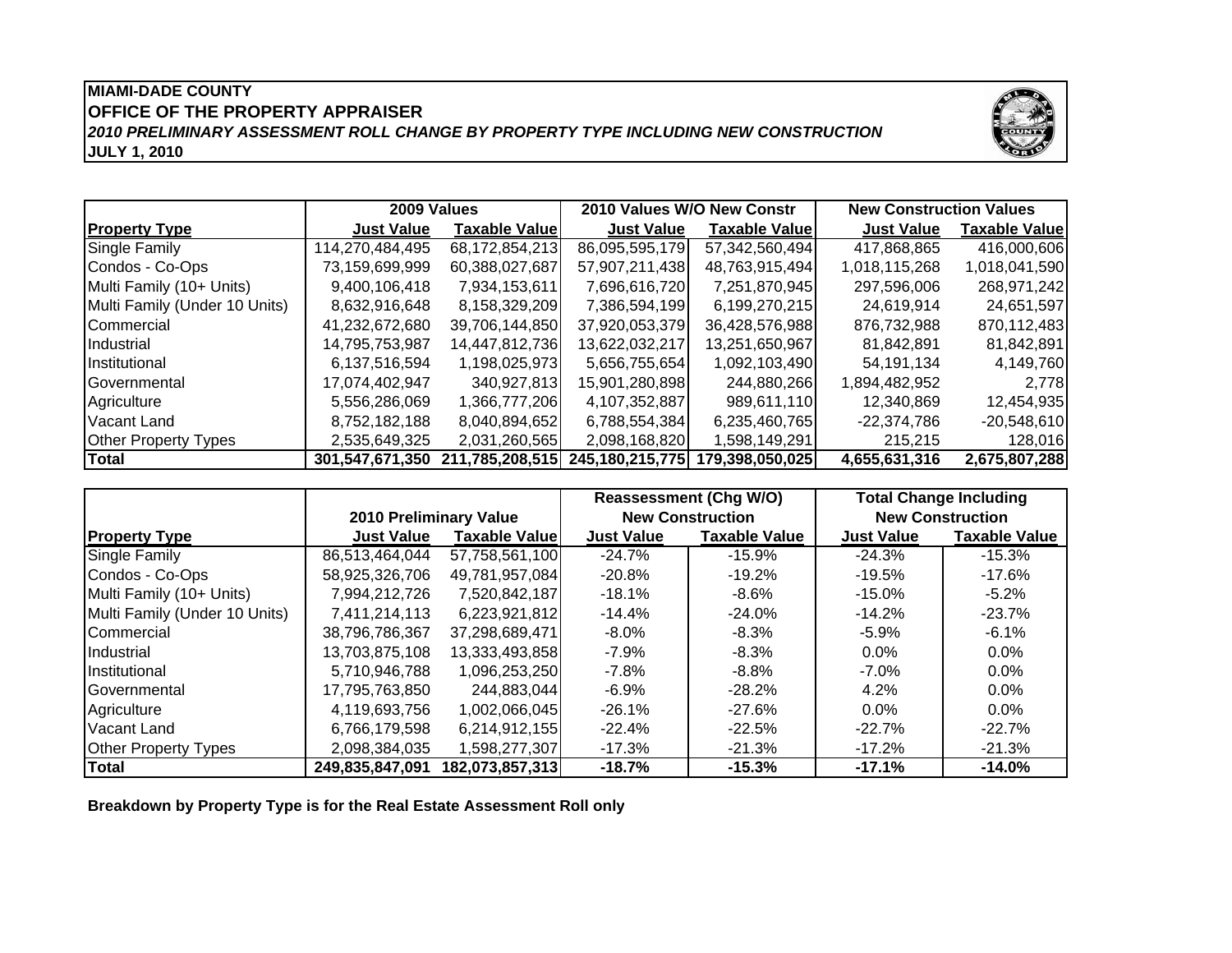# **MIAMI-DADE COUNTYOFFICE OF THE PROPERTY APPRAISER JULY 1, 2010** *2010 PRELIMINARY ASSESSMENT ROLL CHANGE BY PROPERTY TYPE INCLUDING NEW CONSTRUCTION*



|                               | 2009 Values       |                       | 2010 Values W/O New Constr                      |                       | <b>New Construction Values</b> |                      |
|-------------------------------|-------------------|-----------------------|-------------------------------------------------|-----------------------|--------------------------------|----------------------|
| <b>Property Type</b>          | <b>Just Value</b> | <b>Taxable Valuel</b> | <b>Just Value</b>                               | <b>Taxable Valuel</b> | <b>Just Value</b>              | <b>Taxable Value</b> |
| Single Family                 | 114,270,484,495   | 68,172,854,213        | 86,095,595,179                                  | 57,342,560,494        | 417,868,865                    | 416,000,606          |
| Condos - Co-Ops               | 73,159,699,999    | 60,388,027,687        | 57,907,211,438                                  | 48,763,915,494        | 1,018,115,268                  | 1,018,041,590        |
| Multi Family (10+ Units)      | 9,400,106,418     | 7,934,153,611         | 7,696,616,720                                   | 7,251,870,945         | 297,596,006                    | 268,971,242          |
| Multi Family (Under 10 Units) | 8,632,916,648     | 8,158,329,209         | 7,386,594,199                                   | 6,199,270,215         | 24,619,914                     | 24,651,597           |
| <b>Commercial</b>             | 41,232,672,680    | 39.706.144.850        | 37,920,053,379                                  | 36,428,576,988        | 876,732,988                    | 870,112,483          |
| Industrial                    | 14,795,753,987    | 14,447,812,736        | 13,622,032,217                                  | 13,251,650,967        | 81,842,891                     | 81,842,891           |
| <i><b>Institutional</b></i>   | 6,137,516,594     | 1,198,025,973         | 5,656,755,654                                   | 1,092,103,490         | 54,191,134                     | 4,149,760            |
| <b>I</b> Governmental         | 17,074,402,947    | 340.927.813           | 15,901,280,898                                  | 244,880,266           | 1,894,482,952                  | 2,778                |
| Agriculture                   | 5,556,286,069     | 1,366,777,206         | 4,107,352,887                                   | 989,611,110           | 12.340.869                     | 12,454,935           |
| Vacant Land                   | 8,752,182,188     | 8,040,894,652         | 6,788,554,384                                   | 6,235,460,765         | $-22,374,786$                  | $-20,548,610$        |
| <b>Other Property Types</b>   | 2,535,649,325     | 2,031,260,565         | 2,098,168,820                                   | 1,598,149,291         | 215,215                        | 128,016              |
| <b>Total</b>                  |                   |                       | 301,547,671,350 211,785,208,515 245,180,215,775 | 179,398,050,025       | 4,655,631,316                  | 2,675,807,288        |

|                               |                                 |                      | <b>Reassessment (Chg W/O)</b> |                         | <b>Total Change Including</b> |                         |
|-------------------------------|---------------------------------|----------------------|-------------------------------|-------------------------|-------------------------------|-------------------------|
|                               | <b>2010 Preliminary Value</b>   |                      |                               | <b>New Construction</b> |                               | <b>New Construction</b> |
| <b>Property Type</b>          | <b>Just Value</b>               | <b>Taxable Value</b> | <b>Just Value</b>             | <b>Taxable Value</b>    | <b>Just Value</b>             | <b>Taxable Value</b>    |
| Single Family                 | 86,513,464,044                  | 57,758,561,100       | $-24.7%$                      | $-15.9%$                | $-24.3\%$                     | $-15.3%$                |
| Condos - Co-Ops               | 58,925,326,706                  | 49,781,957,084       | $-20.8%$                      | $-19.2%$                | $-19.5\%$                     | $-17.6%$                |
| Multi Family (10+ Units)      | 7,994,212,726                   | 7,520,842,187        | $-18.1\%$                     | -8.6%                   | $-15.0\%$                     | $-5.2%$                 |
| Multi Family (Under 10 Units) | 7,411,214,113                   | 6,223,921,812        | $-14.4%$                      | $-24.0%$                | $-14.2%$                      | $-23.7%$                |
| Commercial                    | 38,796,786,367                  | 37,298,689,471       | $-8.0\%$                      | -8.3%                   | $-5.9%$                       | -6.1%                   |
| Industrial                    | 13,703,875,108                  | 13,333,493,858       | $-7.9\%$                      | $-8.3\%$                | $0.0\%$                       | $0.0\%$                 |
| Institutional                 | 5,710,946,788                   | 1,096,253,250        | -7.8%                         | -8.8%                   | $-7.0\%$                      | $0.0\%$                 |
| Governmental                  | 17,795,763,850                  | 244,883,044          | $-6.9%$                       | $-28.2%$                | 4.2%                          | $0.0\%$                 |
| Agriculture                   | 4,119,693,756                   | 1,002,066,045        | $-26.1%$                      | $-27.6%$                | $0.0\%$                       | $0.0\%$                 |
| <b>Vacant Land</b>            | 6,766,179,598                   | 6,214,912,155        | $-22.4%$                      | $-22.5%$                | $-22.7%$                      | $-22.7%$                |
| <b>Other Property Types</b>   | 2,098,384,035                   | 1,598,277,307        | -17.3%                        | -21.3%                  | $-17.2\%$                     | $-21.3%$                |
| <b>Total</b>                  | 249,835,847,091 182,073,857,313 |                      | $-18.7%$                      | $-15.3%$                | $-17.1%$                      | $-14.0%$                |

**Breakdown by Property Type is for the Real Estate Assessment Roll only**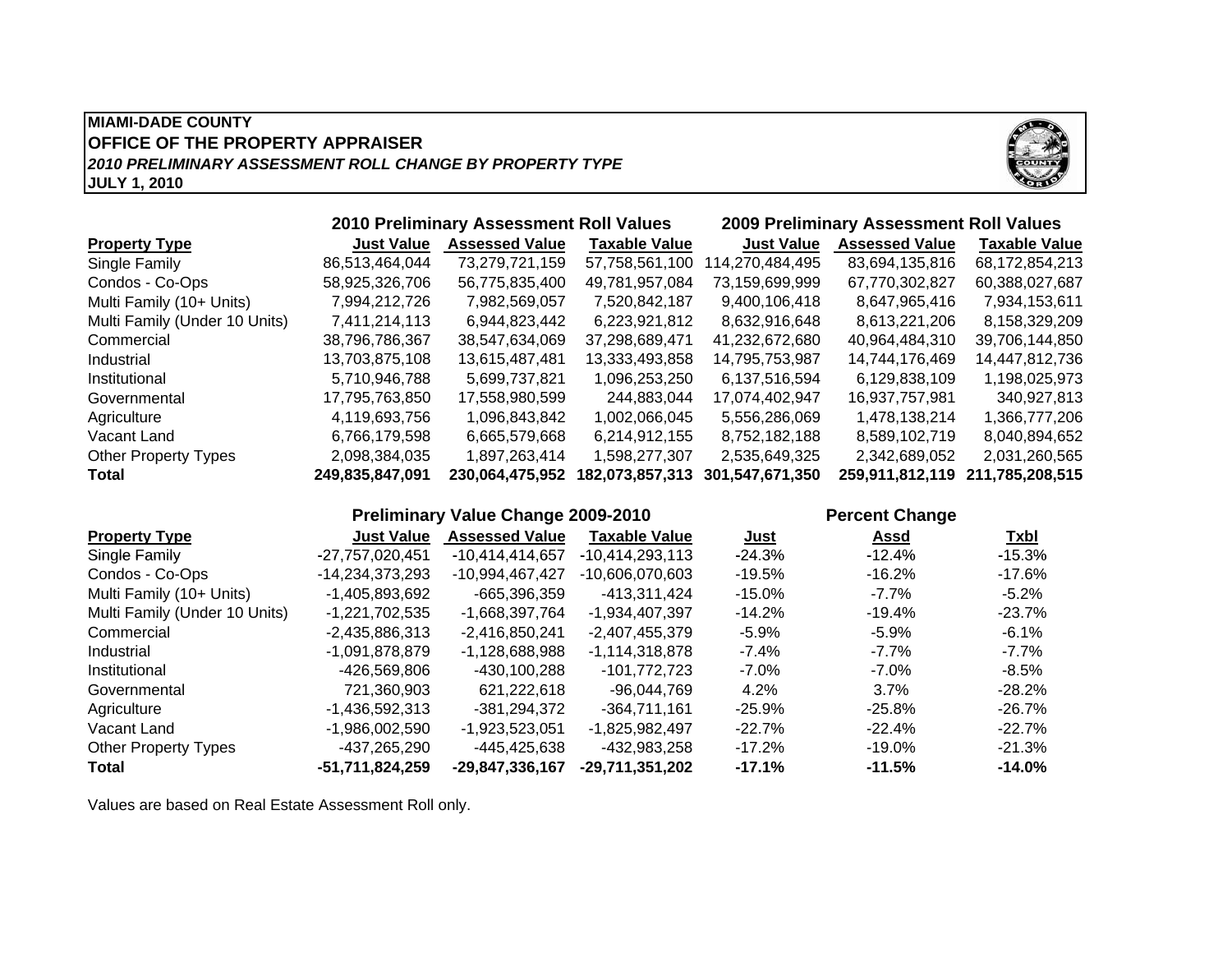## **MIAMI-DADE COUNTYJULY 1, 2010 OFFICE OF THE PROPERTY APPRAISER** *2010 PRELIMINARY ASSESSMENT ROLL CHANGE BY PROPERTY TYPE*



|                               |                   | <b>2010 Preliminary Assessment Roll Values</b> |                      |                    | <b>2009 Preliminary Assessment Roll Values</b> |                      |
|-------------------------------|-------------------|------------------------------------------------|----------------------|--------------------|------------------------------------------------|----------------------|
| <b>Property Type</b>          | <b>Just Value</b> | <b>Assessed Value</b>                          | <b>Taxable Value</b> | <b>Just Value</b>  | <b>Assessed Value</b>                          | <b>Taxable Value</b> |
| Single Family                 | 86,513,464,044    | 73,279,721,159                                 | 57,758,561,100       | 114,270,484,495    | 83,694,135,816                                 | 68,172,854,213       |
| Condos - Co-Ops               | 58,925,326,706    | 56,775,835,400                                 | 49,781,957,084       | 73,159,699,999     | 67,770,302,827                                 | 60,388,027,687       |
| Multi Family (10+ Units)      | 7,994,212,726     | 7,982,569,057                                  | 7,520,842,187        | 9,400,106,418      | 8,647,965,416                                  | 7,934,153,611        |
| Multi Family (Under 10 Units) | 7,411,214,113     | 6,944,823,442                                  | 6,223,921,812        | 8,632,916,648      | 8,613,221,206                                  | 8,158,329,209        |
| Commercial                    | 38,796,786,367    | 38,547,634,069                                 | 37,298,689,471       | 41,232,672,680     | 40,964,484,310                                 | 39,706,144,850       |
| Industrial                    | 13,703,875,108    | 13,615,487,481                                 | 13,333,493,858       | 14,795,753,987     | 14,744,176,469                                 | 14,447,812,736       |
| Institutional                 | 5,710,946,788     | 5,699,737,821                                  | 1,096,253,250        | 6,137,516,594      | 6,129,838,109                                  | 1,198,025,973        |
| Governmental                  | 17,795,763,850    | 17,558,980,599                                 | 244,883,044          | 17,074,402,947     | 16,937,757,981                                 | 340,927,813          |
| Agriculture                   | 4,119,693,756     | 1,096,843,842                                  | 1,002,066,045        | 5,556,286,069      | 1,478,138,214                                  | 1,366,777,206        |
| Vacant Land                   | 6,766,179,598     | 6,665,579,668                                  | 6,214,912,155        | 8,752,182,188      | 8,589,102,719                                  | 8,040,894,652        |
| <b>Other Property Types</b>   | 2,098,384,035     | 1,897,263,414                                  | 1,598,277,307        | 2,535,649,325      | 2,342,689,052                                  | 2,031,260,565        |
| Total                         | 249,835,847,091   | 230.064.475.952                                | 182,073,857,313      | 301, 547, 671, 350 | 259,911,812,119                                | 211,785,208,515      |

|                               |                   | Preliminary Value Change 2009-2010 |                      |             | <b>Percent Change</b> |           |  |
|-------------------------------|-------------------|------------------------------------|----------------------|-------------|-----------------------|-----------|--|
| <b>Property Type</b>          | <b>Just Value</b> | <b>Assessed Value</b>              | <b>Taxable Value</b> | <u>Just</u> | Assd                  | Txbl      |  |
| Single Family                 | -27,757,020,451   | -10.414.414.657                    | -10.414.293.113      | $-24.3\%$   | $-12.4%$              | $-15.3\%$ |  |
| Condos - Co-Ops               | -14,234,373,293   | -10,994,467,427                    | -10.606.070.603      | $-19.5%$    | $-16.2\%$             | -17.6%    |  |
| Multi Family (10+ Units)      | -1,405,893,692    | -665,396,359                       | -413,311,424         | $-15.0\%$   | $-7.7\%$              | $-5.2\%$  |  |
| Multi Family (Under 10 Units) | $-1,221,702,535$  | -1.668.397.764                     | -1,934,407,397       | $-14.2%$    | $-19.4\%$             | -23.7%    |  |
| Commercial                    | $-2,435,886,313$  | $-2,416,850,241$                   | $-2,407,455,379$     | $-5.9%$     | $-5.9\%$              | -6.1%     |  |
| Industrial                    | -1,091,878,879    | -1.128.688.988                     | -1.114.318.878       | $-7.4%$     | $-7.7\%$              | -7.7%     |  |
| Institutional                 | -426.569.806      | -430.100.288                       | -101.772.723         | $-7.0\%$    | $-7.0\%$              | -8.5%     |  |
| Governmental                  | 721.360.903       | 621.222.618                        | -96.044.769          | 4.2%        | $3.7\%$               | $-28.2\%$ |  |
| Agriculture                   | $-1,436,592,313$  | -381.294.372                       | -364.711.161         | $-25.9\%$   | $-25.8\%$             | -26.7%    |  |
| Vacant Land                   | $-1,986,002,590$  | $-1,923,523,051$                   | -1,825,982,497       | $-22.7%$    | $-22.4%$              | $-22.7\%$ |  |
| <b>Other Property Types</b>   | -437,265,290      | -445,425,638                       | -432.983.258         | $-17.2%$    | $-19.0\%$             | $-21.3\%$ |  |
| <b>Total</b>                  | -51,711,824,259   | -29,847,336,167                    | -29.711.351.202      | $-17.1%$    | $-11.5%$              | $-14.0\%$ |  |

Values are based on Real Estate Assessment Roll only.